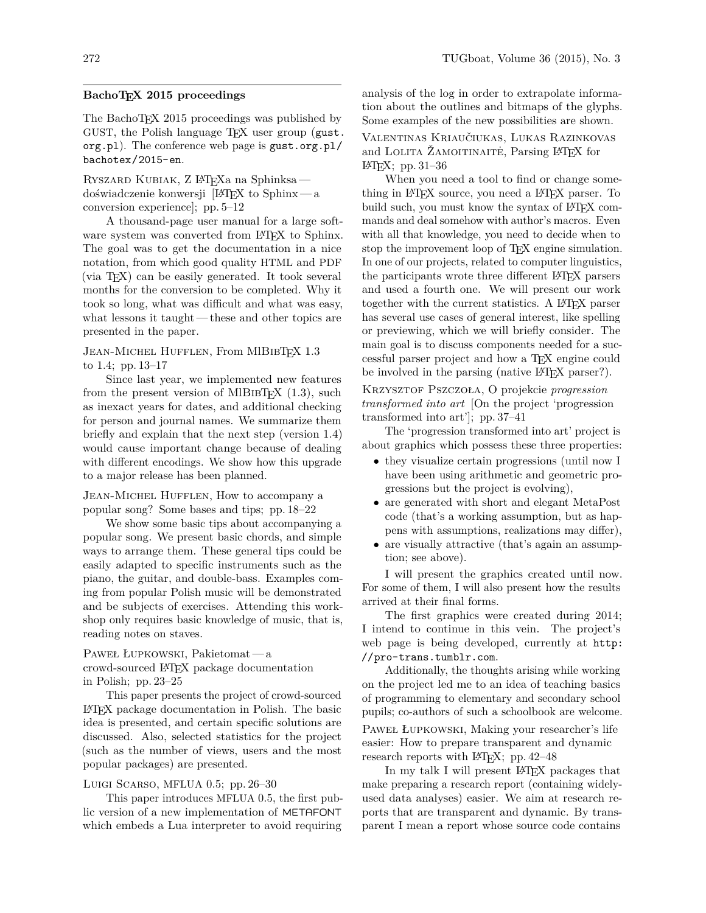## **BachoTEX 2015 proceedings**

The BachoT<sub>EX</sub> 2015 proceedings was published by GUST, the Polish language T<sub>E</sub>X user group (gust. org.pl). The conference web page is gust.org.pl/ bachotex/2015-en.

Ryszard Kubiak, Z LATEXa na Sphinksa doświadczenie konwersji [LATEX to Sphinx— a conversion experience]; pp. 5–12

A thousand-page user manual for a large software system was converted from LAT<sub>EX</sub> to Sphinx. The goal was to get the documentation in a nice notation, from which good quality HTML and PDF (via TEX) can be easily generated. It took several months for the conversion to be completed. Why it took so long, what was difficult and what was easy, what lessons it taught— these and other topics are presented in the paper.

JEAN-MICHEL HUFFLEN, From MIBIBTFX 1.3 to 1.4; pp. 13–17

Since last year, we implemented new features from the present version of MIBIBT<sub>EX</sub>  $(1.3)$ , such as inexact years for dates, and additional checking for person and journal names. We summarize them briefly and explain that the next step (version 1.4) would cause important change because of dealing with different encodings. We show how this upgrade to a major release has been planned.

Jean-Michel Hufflen, How to accompany a popular song? Some bases and tips; pp. 18–22

We show some basic tips about accompanying a popular song. We present basic chords, and simple ways to arrange them. These general tips could be easily adapted to specific instruments such as the piano, the guitar, and double-bass. Examples coming from popular Polish music will be demonstrated and be subjects of exercises. Attending this workshop only requires basic knowledge of music, that is, reading notes on staves.

Paweł Łupkowski, Pakietomat— a crowd-sourced LATEX package documentation in Polish; pp. 23–25

This paper presents the project of crowd-sourced LATEX package documentation in Polish. The basic idea is presented, and certain specific solutions are discussed. Also, selected statistics for the project (such as the number of views, users and the most popular packages) are presented.

## Luigi Scarso, MFLUA 0.5; pp. 26–30

This paper introduces MFLUA 0.5, the first public version of a new implementation of METAFONT which embeds a Lua interpreter to avoid requiring analysis of the log in order to extrapolate information about the outlines and bitmaps of the glyphs. Some examples of the new possibilities are shown.

Valentinas Kriaučiukas, Lukas Razinkovas and LOLITA ŽAMOITINAITE<sup>\*</sup>, Parsing L<sup>A</sup>T<sub>E</sub>X for LATEX; pp. 31–36

When you need a tool to find or change something in LATEX source, you need a LATEX parser. To build such, you must know the syntax of LAT<sub>EX</sub> commands and deal somehow with author's macros. Even with all that knowledge, you need to decide when to stop the improvement loop of T<sub>F</sub>X engine simulation. In one of our projects, related to computer linguistics, the participants wrote three different LATEX parsers and used a fourth one. We will present our work together with the current statistics. A LATEX parser has several use cases of general interest, like spelling or previewing, which we will briefly consider. The main goal is to discuss components needed for a successful parser project and how a TEX engine could be involved in the parsing (native LAT<sub>EX</sub> parser?).

Krzysztof Pszczoła, O projekcie *progression transformed into art* [On the project 'progression transformed into art']; pp. 37–41

The 'progression transformed into art' project is about graphics which possess these three properties:

- they visualize certain progressions (until now I have been using arithmetic and geometric progressions but the project is evolving),
- are generated with short and elegant MetaPost code (that's a working assumption, but as happens with assumptions, realizations may differ),
- are visually attractive (that's again an assumption; see above).

I will present the graphics created until now. For some of them, I will also present how the results arrived at their final forms.

The first graphics were created during 2014; I intend to continue in this vein. The project's web page is being developed, currently at http: //pro-trans.tumblr.com.

Additionally, the thoughts arising while working on the project led me to an idea of teaching basics of programming to elementary and secondary school pupils; co-authors of such a schoolbook are welcome.

Paweł Łupkowski, Making your researcher's life easier: How to prepare transparent and dynamic research reports with LAT<sub>EX</sub>; pp. 42–48

In my talk I will present LAT<sub>EX</sub> packages that make preparing a research report (containing widelyused data analyses) easier. We aim at research reports that are transparent and dynamic. By transparent I mean a report whose source code contains